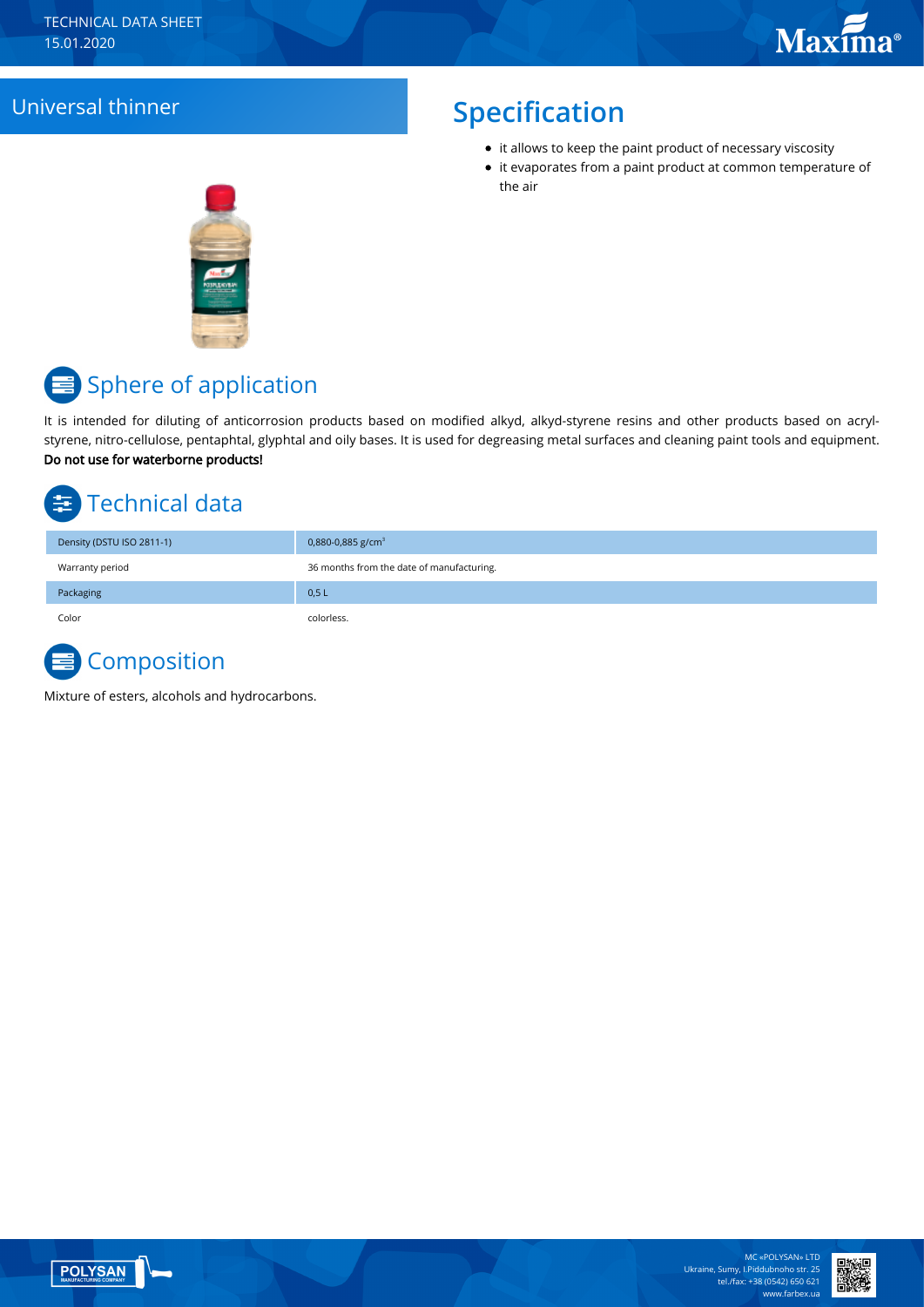#### Universal thinner **Specification**

- it allows to keep the paint product of necessary viscosity
- it evaporates from a paint product at common temperature of the air



# <mark>≡</mark> Sphere of application

It is intended for diluting of anticorrosion products based on modified alkyd, alkyd-styrene resins and other products based on acrylstyrene, nitro-cellulose, pentaphtal, glyphtal and oily bases. It is used for degreasing metal surfaces and cleaning paint tools and equipment. Do not use for waterborne products!

# Technical data

| Density (DSTU ISO 2811-1) | 0,880-0,885 g/cm <sup>3</sup>             |
|---------------------------|-------------------------------------------|
| Warranty period           | 36 months from the date of manufacturing. |
| Packaging                 | 0,5L                                      |
| Color                     | colorless.                                |

### **Composition**

Mixture of esters, alcohols and hydrocarbons.